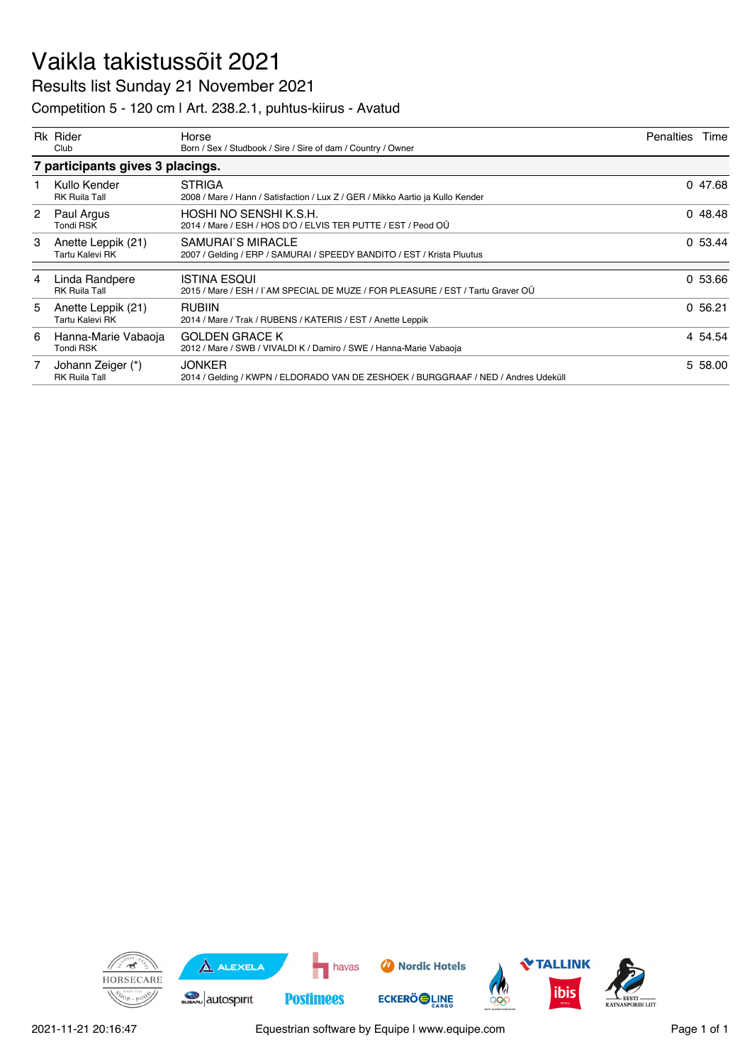### Results list Sunday 21 November 2021

#### Competition 5 - 120 cm | Art. 238.2.1, puhtus-kiirus - Avatud

|              | <b>Rk Rider</b><br>Club                      | Horse<br>Born / Sex / Studbook / Sire / Sire of dam / Country / Owner                               | Penalties | Time    |
|--------------|----------------------------------------------|-----------------------------------------------------------------------------------------------------|-----------|---------|
|              | 7 participants gives 3 placings.             |                                                                                                     |           |         |
|              | Kullo Kender<br><b>RK Ruila Tall</b>         | <b>STRIGA</b><br>2008 / Mare / Hann / Satisfaction / Lux Z / GER / Mikko Aartio ja Kullo Kender     |           | 047.68  |
| $\mathbf{2}$ | Paul Argus<br>Tondi RSK                      | HOSHI NO SENSHI K.S.H.<br>2014 / Mare / ESH / HOS D'O / ELVIS TER PUTTE / EST / Peod OÜ             |           | 048.48  |
| 3            | Anette Leppik (21)<br><b>Tartu Kalevi RK</b> | SAMURAI`S MIRACLE<br>2007 / Gelding / ERP / SAMURAI / SPEEDY BANDITO / EST / Krista Pluutus         |           | 0 53.44 |
| 4            | Linda Randpere<br><b>RK Ruila Tall</b>       | ISTINA ESQUI<br>2015 / Mare / ESH / I`AM SPECIAL DE MUZE / FOR PLEASURE / EST / Tartu Graver OÜ     |           | 0,53.66 |
| 5            | Anette Leppik (21)<br>Tartu Kalevi RK        | <b>RUBIIN</b><br>2014 / Mare / Trak / RUBENS / KATERIS / EST / Anette Leppik                        |           | 0.56.21 |
| 6            | Hanna-Marie Vabaoja<br>Tondi RSK             | <b>GOLDEN GRACE K</b><br>2012 / Mare / SWB / VIVALDI K / Damiro / SWE / Hanna-Marie Vabaoja         |           | 4 54.54 |
| 7            | Johann Zeiger (*)<br><b>RK Ruila Tall</b>    | <b>JONKER</b><br>2014 / Gelding / KWPN / ELDORADO VAN DE ZESHOEK / BURGGRAAF / NED / Andres Udeküll |           | 5 58.00 |

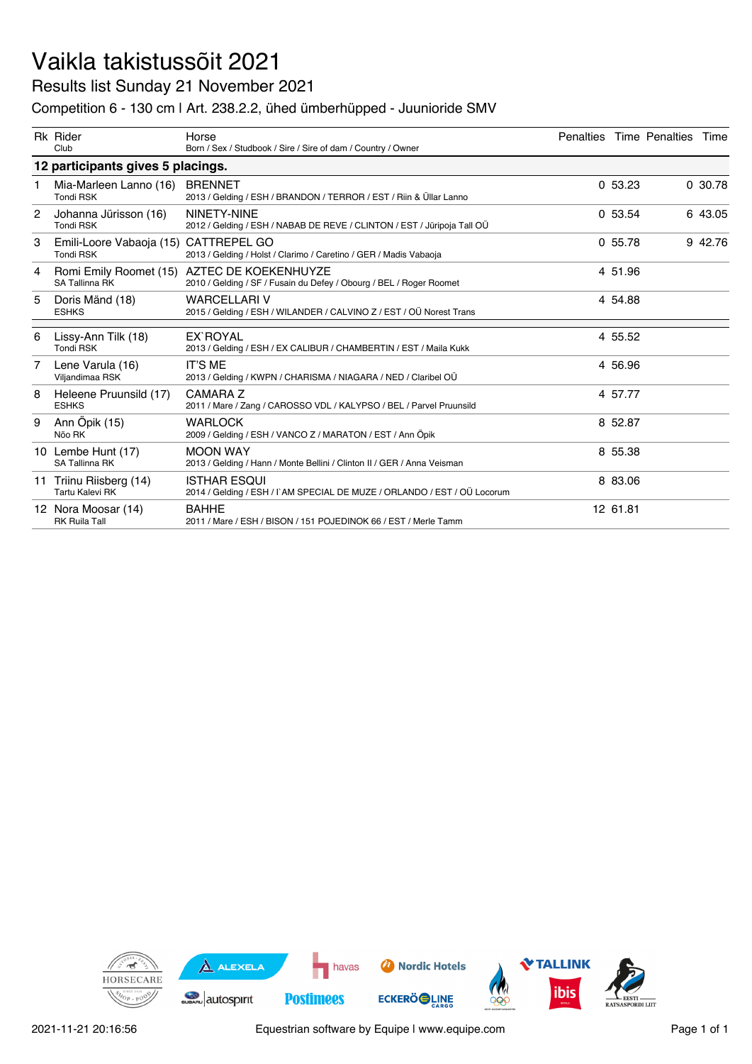### Results list Sunday 21 November 2021

#### Competition 6 - 130 cm | Art. 238.2.2, ühed ümberhüpped - Juunioride SMV

|   | <b>Rk</b> Rider<br>Club                            | Horse<br>Born / Sex / Studbook / Sire / Sire of dam / Country / Owner                                              |          | Penalties Time Penalties Time |         |
|---|----------------------------------------------------|--------------------------------------------------------------------------------------------------------------------|----------|-------------------------------|---------|
|   | 12 participants gives 5 placings.                  |                                                                                                                    |          |                               |         |
|   | Mia-Marleen Lanno (16)<br><b>Tondi RSK</b>         | <b>BRENNET</b><br>2013 / Gelding / ESH / BRANDON / TERROR / EST / Riin & Üllar Lanno                               | 0.53.23  |                               | 0.30.78 |
| 2 | Johanna Jürisson (16)<br><b>Tondi RSK</b>          | NINETY-NINE<br>2012 / Gelding / ESH / NABAB DE REVE / CLINTON / EST / Jüripoja Tall OÜ                             | 0.53.54  |                               | 6 43.05 |
| 3 | Emili-Loore Vabaoja (15) CATTREPEL GO<br>Tondi RSK | 2013 / Gelding / Holst / Clarimo / Caretino / GER / Madis Vabaoja                                                  | 0.55.78  |                               | 9 42.76 |
| 4 | <b>SA Tallinna RK</b>                              | Romi Emily Roomet (15) AZTEC DE KOEKENHUYZE<br>2010 / Gelding / SF / Fusain du Defey / Obourg / BEL / Roger Roomet | 4 51.96  |                               |         |
| 5 | Doris Mänd (18)<br><b>ESHKS</b>                    | <b>WARCELLARI V</b><br>2015 / Gelding / ESH / WILANDER / CALVINO Z / EST / OÜ Norest Trans                         | 4 54.88  |                               |         |
| 6 | Lissy-Ann Tilk (18)<br><b>Tondi RSK</b>            | EX`ROYAL<br>2013 / Gelding / ESH / EX CALIBUR / CHAMBERTIN / EST / Maila Kukk                                      | 4 55.52  |                               |         |
| 7 | Lene Varula (16)<br>Viljandimaa RSK                | <b>IT'S ME</b><br>2013 / Gelding / KWPN / CHARISMA / NIAGARA / NED / Claribel OÜ                                   | 4 56.96  |                               |         |
| 8 | Heleene Pruunsild (17)<br><b>ESHKS</b>             | CAMARA Z<br>2011 / Mare / Zang / CAROSSO VDL / KALYPSO / BEL / Parvel Pruunsild                                    | 4 57.77  |                               |         |
| 9 | Ann Öpik (15)<br>Não RK                            | <b>WARLOCK</b><br>2009 / Gelding / ESH / VANCO Z / MARATON / EST / Ann Öpik                                        | 8 52.87  |                               |         |
|   | 10 Lembe Hunt (17)<br><b>SA Tallinna RK</b>        | <b>MOON WAY</b><br>2013 / Gelding / Hann / Monte Bellini / Clinton II / GER / Anna Veisman                         | 8 55.38  |                               |         |
|   | 11 Triinu Riisberg (14)<br><b>Tartu Kalevi RK</b>  | <b>ISTHAR ESQUI</b><br>2014 / Gelding / ESH / I`AM SPECIAL DE MUZE / ORLANDO / EST / OÜ Locorum                    | 8 83.06  |                               |         |
|   | 12 Nora Moosar (14)<br><b>RK Ruila Tall</b>        | <b>BAHHE</b><br>2011 / Mare / ESH / BISON / 151 POJEDINOK 66 / EST / Merle Tamm                                    | 12 61.81 |                               |         |

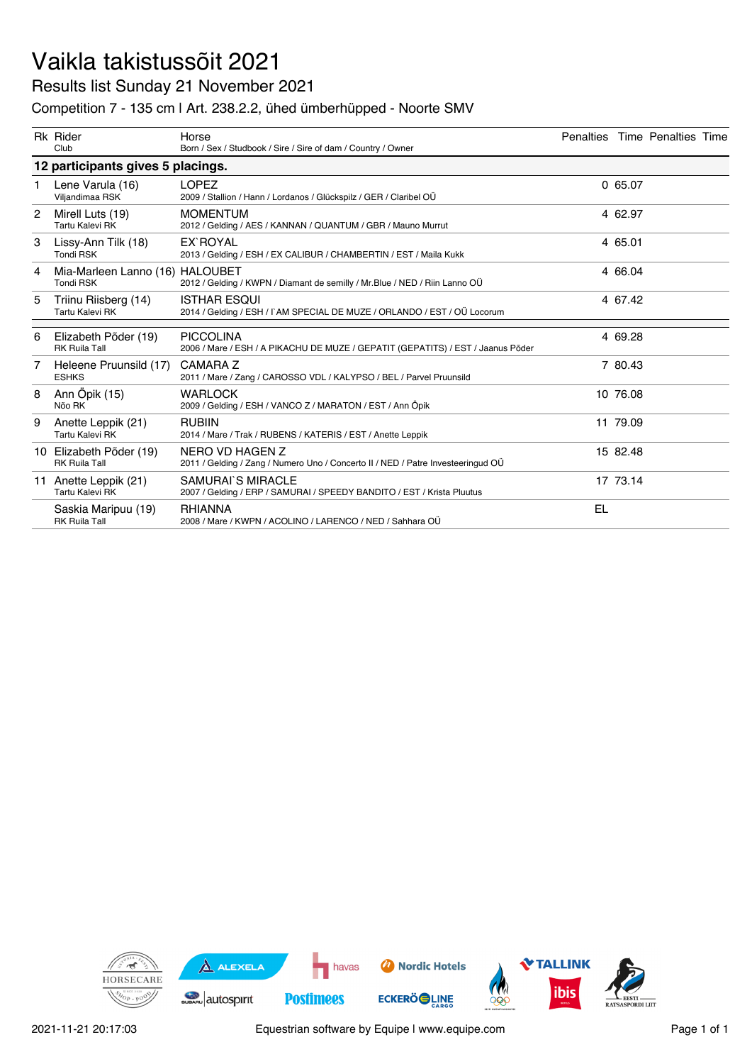Results list Sunday 21 November 2021

#### Competition 7 - 135 cm | Art. 238.2.2, ühed ümberhüpped - Noorte SMV

|                | <b>Rk</b> Rider<br>Club                             | Horse<br>Born / Sex / Studbook / Sire / Sire of dam / Country / Owner                               | Penalties Time Penalties Time |          |  |
|----------------|-----------------------------------------------------|-----------------------------------------------------------------------------------------------------|-------------------------------|----------|--|
|                | 12 participants gives 5 placings.                   |                                                                                                     |                               |          |  |
|                | Lene Varula (16)<br>Viliandimaa RSK                 | <b>LOPEZ</b><br>2009 / Stallion / Hann / Lordanos / Glückspilz / GER / Claribel OÜ                  |                               | 065.07   |  |
| $\overline{2}$ | Mirell Luts (19)<br>Tartu Kalevi RK                 | <b>MOMENTUM</b><br>2012 / Gelding / AES / KANNAN / QUANTUM / GBR / Mauno Murrut                     |                               | 4 62.97  |  |
| 3              | Lissy-Ann Tilk (18)<br><b>Tondi RSK</b>             | EX`ROYAL<br>2013 / Gelding / ESH / EX CALIBUR / CHAMBERTIN / EST / Maila Kukk                       |                               | 4 65.01  |  |
| 4              | Mia-Marleen Lanno (16) HALOUBET<br><b>Tondi RSK</b> | 2012 / Gelding / KWPN / Diamant de semilly / Mr. Blue / NED / Riin Lanno OÜ                         |                               | 4 66.04  |  |
| 5              | Triinu Riisberg (14)<br><b>Tartu Kalevi RK</b>      | <b>ISTHAR ESQUI</b><br>2014 / Gelding / ESH / I`AM SPECIAL DE MUZE / ORLANDO / EST / OÜ Locorum     |                               | 4 67.42  |  |
|                |                                                     | <b>PICCOLINA</b>                                                                                    |                               |          |  |
| 6              | Elizabeth Põder (19)<br><b>RK Ruila Tall</b>        | 2006 / Mare / ESH / A PIKACHU DE MUZE / GEPATIT (GEPATITS) / EST / Jaanus Põder                     |                               | 4 69.28  |  |
| 7              | Heleene Pruunsild (17)<br><b>ESHKS</b>              | CAMARA Z<br>2011 / Mare / Zang / CAROSSO VDL / KALYPSO / BEL / Parvel Pruunsild                     |                               | 7 80.43  |  |
| 8              | Ann Öpik (15)<br>Nõo RK                             | <b>WARLOCK</b><br>2009 / Gelding / ESH / VANCO Z / MARATON / EST / Ann Öpik                         |                               | 10 76.08 |  |
| 9              | Anette Leppik (21)<br>Tartu Kalevi RK               | <b>RUBIIN</b><br>2014 / Mare / Trak / RUBENS / KATERIS / EST / Anette Leppik                        |                               | 11 79.09 |  |
|                | 10 Elizabeth Põder (19)<br><b>RK Ruila Tall</b>     | NERO VD HAGEN Z<br>2011 / Gelding / Zang / Numero Uno / Concerto II / NED / Patre Investeeringud OÜ |                               | 15 82.48 |  |
|                | 11 Anette Leppik (21)<br><b>Tartu Kalevi RK</b>     | SAMURAI`S MIRACLE<br>2007 / Gelding / ERP / SAMURAI / SPEEDY BANDITO / EST / Krista Pluutus         |                               | 17 73.14 |  |
|                | Saskia Maripuu (19)<br><b>RK Ruila Tall</b>         | <b>RHIANNA</b><br>2008 / Mare / KWPN / ACOLINO / LARENCO / NED / Sahhara OÜ                         | EL                            |          |  |